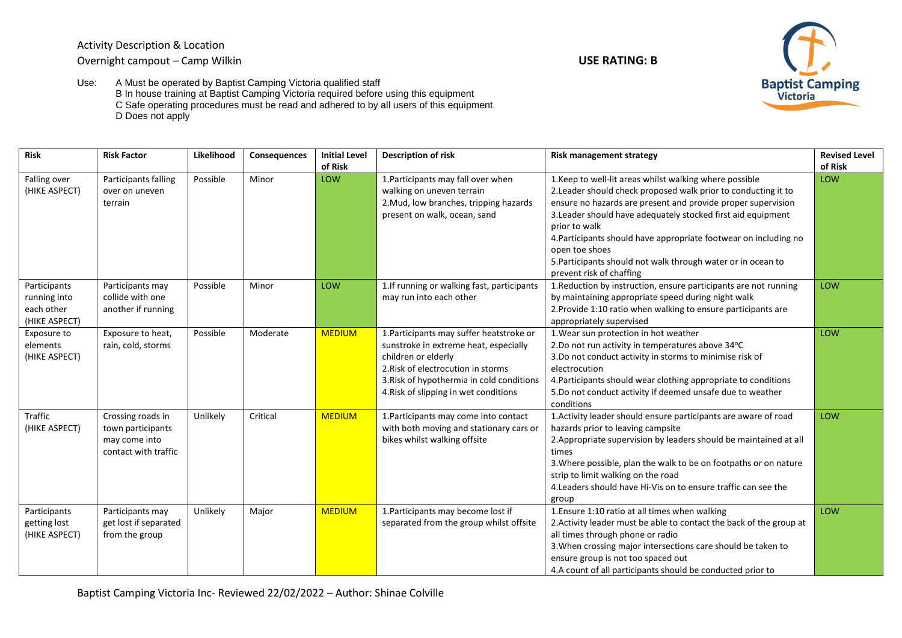

Use: A Must be operated by Baptist Camping Victoria qualified staff B In house training at Baptist Camping Victoria required before using this equipment C Safe operating procedures must be read and adhered to by all users of this equipment D Does not apply

| <b>Risk</b>                                                 | <b>Risk Factor</b>                                                              | Likelihood | Consequences | <b>Initial Level</b><br>of Risk | <b>Description of risk</b>                                                                                                                                                                                                           | <b>Risk management strategy</b>                                                                                                                                                                                                                                                                                                                                                                                                                              | <b>Revised Level</b><br>of Risk |
|-------------------------------------------------------------|---------------------------------------------------------------------------------|------------|--------------|---------------------------------|--------------------------------------------------------------------------------------------------------------------------------------------------------------------------------------------------------------------------------------|--------------------------------------------------------------------------------------------------------------------------------------------------------------------------------------------------------------------------------------------------------------------------------------------------------------------------------------------------------------------------------------------------------------------------------------------------------------|---------------------------------|
| Falling over<br>(HIKE ASPECT)                               | Participants falling<br>over on uneven<br>terrain                               | Possible   | Minor        | LOW                             | 1. Participants may fall over when<br>walking on uneven terrain<br>2. Mud, low branches, tripping hazards<br>present on walk, ocean, sand                                                                                            | 1. Keep to well-lit areas whilst walking where possible<br>2. Leader should check proposed walk prior to conducting it to<br>ensure no hazards are present and provide proper supervision<br>3. Leader should have adequately stocked first aid equipment<br>prior to walk<br>4. Participants should have appropriate footwear on including no<br>open toe shoes<br>5. Participants should not walk through water or in ocean to<br>prevent risk of chaffing | LOW                             |
| Participants<br>running into<br>each other<br>(HIKE ASPECT) | Participants may<br>collide with one<br>another if running                      | Possible   | Minor        | LOW                             | 1. If running or walking fast, participants<br>may run into each other                                                                                                                                                               | 1. Reduction by instruction, ensure participants are not running<br>by maintaining appropriate speed during night walk<br>2. Provide 1:10 ratio when walking to ensure participants are<br>appropriately supervised                                                                                                                                                                                                                                          | LOW                             |
| Exposure to<br>elements<br>(HIKE ASPECT)                    | Exposure to heat,<br>rain, cold, storms                                         | Possible   | Moderate     | <b>MEDIUM</b>                   | 1. Participants may suffer heatstroke or<br>sunstroke in extreme heat, especially<br>children or elderly<br>2. Risk of electrocution in storms<br>3. Risk of hypothermia in cold conditions<br>4. Risk of slipping in wet conditions | 1. Wear sun protection in hot weather<br>2.Do not run activity in temperatures above 34°C<br>3.Do not conduct activity in storms to minimise risk of<br>electrocution<br>4. Participants should wear clothing appropriate to conditions<br>5.Do not conduct activity if deemed unsafe due to weather<br>conditions                                                                                                                                           | LOW                             |
| Traffic<br>(HIKE ASPECT)                                    | Crossing roads in<br>town participants<br>may come into<br>contact with traffic | Unlikely   | Critical     | <b>MEDIUM</b>                   | 1. Participants may come into contact<br>with both moving and stationary cars or<br>bikes whilst walking offsite                                                                                                                     | 1. Activity leader should ensure participants are aware of road<br>hazards prior to leaving campsite<br>2. Appropriate supervision by leaders should be maintained at all<br>times<br>3. Where possible, plan the walk to be on footpaths or on nature<br>strip to limit walking on the road<br>4. Leaders should have Hi-Vis on to ensure traffic can see the<br>group                                                                                      | LOW                             |
| Participants<br>getting lost<br>(HIKE ASPECT)               | Participants may<br>get lost if separated<br>from the group                     | Unlikely   | Major        | <b>MEDIUM</b>                   | 1. Participants may become lost if<br>separated from the group whilst offsite                                                                                                                                                        | 1. Ensure 1:10 ratio at all times when walking<br>2. Activity leader must be able to contact the back of the group at<br>all times through phone or radio<br>3. When crossing major intersections care should be taken to<br>ensure group is not too spaced out<br>4.A count of all participants should be conducted prior to                                                                                                                                | LOW                             |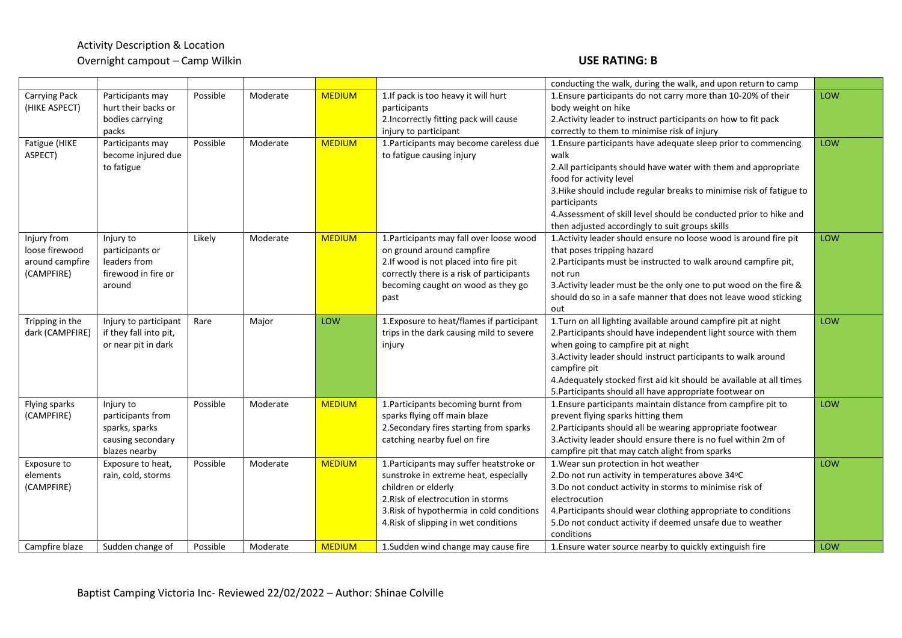|                             |                                     |          |          |               |                                                                     | conducting the walk, during the walk, and upon return to camp                                    |     |
|-----------------------------|-------------------------------------|----------|----------|---------------|---------------------------------------------------------------------|--------------------------------------------------------------------------------------------------|-----|
| <b>Carrying Pack</b>        | Participants may                    | Possible | Moderate | <b>MEDIUM</b> | 1. If pack is too heavy it will hurt                                | 1. Ensure participants do not carry more than 10-20% of their                                    | LOW |
| (HIKE ASPECT)               | hurt their backs or                 |          |          |               | participants                                                        | body weight on hike                                                                              |     |
|                             | bodies carrying                     |          |          |               | 2. Incorrectly fitting pack will cause                              | 2. Activity leader to instruct participants on how to fit pack                                   |     |
|                             | packs                               |          |          |               | injury to participant                                               | correctly to them to minimise risk of injury                                                     |     |
| Fatigue (HIKE               | Participants may                    | Possible | Moderate | <b>MEDIUM</b> | 1. Participants may become careless due                             | 1. Ensure participants have adequate sleep prior to commencing                                   | LOW |
| ASPECT)                     | become injured due                  |          |          |               | to fatigue causing injury                                           | walk                                                                                             |     |
|                             | to fatigue                          |          |          |               |                                                                     | 2.All participants should have water with them and appropriate                                   |     |
|                             |                                     |          |          |               |                                                                     | food for activity level                                                                          |     |
|                             |                                     |          |          |               |                                                                     | 3. Hike should include regular breaks to minimise risk of fatigue to                             |     |
|                             |                                     |          |          |               |                                                                     | participants                                                                                     |     |
|                             |                                     |          |          |               |                                                                     | 4.Assessment of skill level should be conducted prior to hike and                                |     |
|                             |                                     |          |          |               |                                                                     | then adjusted accordingly to suit groups skills                                                  |     |
| Injury from                 | Injury to                           | Likely   | Moderate | <b>MEDIUM</b> | 1. Participants may fall over loose wood                            | 1. Activity leader should ensure no loose wood is around fire pit                                | LOW |
| loose firewood              | participants or                     |          |          |               | on ground around campfire                                           | that poses tripping hazard                                                                       |     |
| around campfire             | leaders from                        |          |          |               | 2.If wood is not placed into fire pit                               | 2. Participants must be instructed to walk around campfire pit,                                  |     |
| (CAMPFIRE)                  | firewood in fire or                 |          |          |               | correctly there is a risk of participants                           | not run                                                                                          |     |
|                             | around                              |          |          |               | becoming caught on wood as they go                                  | 3. Activity leader must be the only one to put wood on the fire &                                |     |
|                             |                                     |          |          |               | past                                                                | should do so in a safe manner that does not leave wood sticking                                  |     |
|                             |                                     |          |          |               |                                                                     | out                                                                                              |     |
| Tripping in the             | Injury to participant               | Rare     | Major    | LOW           | 1. Exposure to heat/flames if participant                           | 1. Turn on all lighting available around campfire pit at night                                   | LOW |
| dark (CAMPFIRE)             | if they fall into pit,              |          |          |               | trips in the dark causing mild to severe                            | 2. Participants should have independent light source with them                                   |     |
|                             | or near pit in dark                 |          |          |               | injury                                                              | when going to campfire pit at night                                                              |     |
|                             |                                     |          |          |               |                                                                     | 3. Activity leader should instruct participants to walk around                                   |     |
|                             |                                     |          |          |               |                                                                     | campfire pit                                                                                     |     |
|                             |                                     |          |          |               |                                                                     | 4. Adequately stocked first aid kit should be available at all times                             |     |
|                             |                                     |          |          |               |                                                                     | 5. Participants should all have appropriate footwear on                                          |     |
| Flying sparks<br>(CAMPFIRE) | Injury to                           | Possible | Moderate | <b>MEDIUM</b> | 1. Participants becoming burnt from<br>sparks flying off main blaze | 1. Ensure participants maintain distance from campfire pit to                                    | LOW |
|                             | participants from<br>sparks, sparks |          |          |               | 2. Secondary fires starting from sparks                             | prevent flying sparks hitting them<br>2. Participants should all be wearing appropriate footwear |     |
|                             | causing secondary                   |          |          |               | catching nearby fuel on fire                                        | 3. Activity leader should ensure there is no fuel within 2m of                                   |     |
|                             | blazes nearby                       |          |          |               |                                                                     | campfire pit that may catch alight from sparks                                                   |     |
| Exposure to                 | Exposure to heat,                   | Possible | Moderate | <b>MEDIUM</b> | 1. Participants may suffer heatstroke or                            | 1. Wear sun protection in hot weather                                                            | LOW |
| elements                    | rain, cold, storms                  |          |          |               | sunstroke in extreme heat, especially                               | 2.Do not run activity in temperatures above 34°C                                                 |     |
| (CAMPFIRE)                  |                                     |          |          |               | children or elderly                                                 | 3.Do not conduct activity in storms to minimise risk of                                          |     |
|                             |                                     |          |          |               | 2. Risk of electrocution in storms                                  | electrocution                                                                                    |     |
|                             |                                     |          |          |               | 3. Risk of hypothermia in cold conditions                           | 4. Participants should wear clothing appropriate to conditions                                   |     |
|                             |                                     |          |          |               | 4. Risk of slipping in wet conditions                               | 5.Do not conduct activity if deemed unsafe due to weather                                        |     |
|                             |                                     |          |          |               |                                                                     | conditions                                                                                       |     |
| Campfire blaze              | Sudden change of                    | Possible | Moderate | <b>MEDIUM</b> | 1. Sudden wind change may cause fire                                | 1. Ensure water source nearby to quickly extinguish fire                                         | LOW |
|                             |                                     |          |          |               |                                                                     |                                                                                                  |     |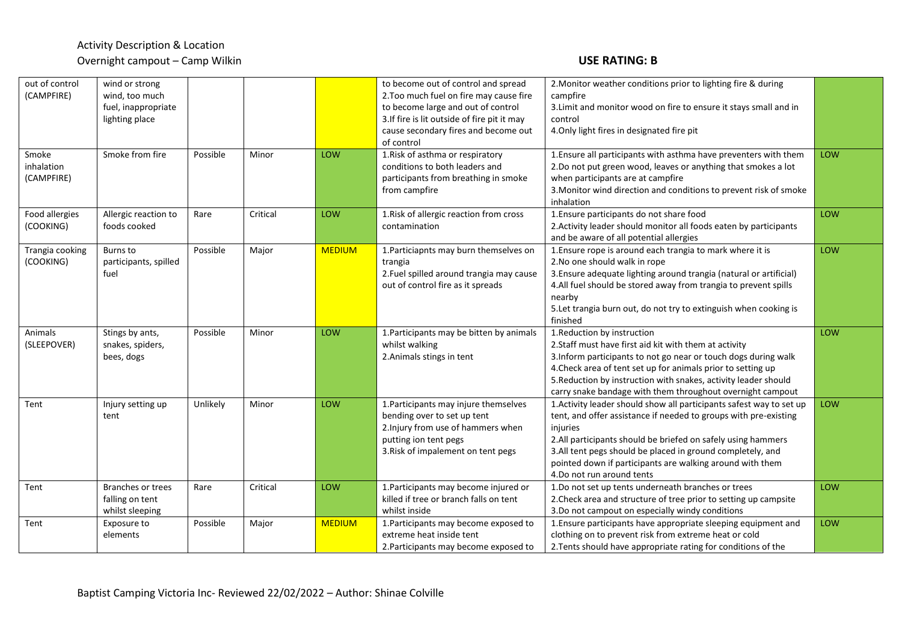| out of control  | wind or strong        |          |          |               | to become out of control and spread          | 2. Monitor weather conditions prior to lighting fire & during        |     |
|-----------------|-----------------------|----------|----------|---------------|----------------------------------------------|----------------------------------------------------------------------|-----|
| (CAMPFIRE)      | wind, too much        |          |          |               | 2. Too much fuel on fire may cause fire      | campfire                                                             |     |
|                 | fuel, inappropriate   |          |          |               | to become large and out of control           | 3. Limit and monitor wood on fire to ensure it stays small and in    |     |
|                 | lighting place        |          |          |               | 3. If fire is lit outside of fire pit it may | control                                                              |     |
|                 |                       |          |          |               | cause secondary fires and become out         | 4. Only light fires in designated fire pit                           |     |
|                 |                       |          |          |               | of control                                   |                                                                      |     |
| Smoke           | Smoke from fire       | Possible | Minor    | LOW           | 1. Risk of asthma or respiratory             | 1. Ensure all participants with asthma have preventers with them     | LOW |
| inhalation      |                       |          |          |               | conditions to both leaders and               | 2.Do not put green wood, leaves or anything that smokes a lot        |     |
| (CAMPFIRE)      |                       |          |          |               | participants from breathing in smoke         | when participants are at campfire                                    |     |
|                 |                       |          |          |               | from campfire                                | 3. Monitor wind direction and conditions to prevent risk of smoke    |     |
|                 |                       |          |          |               |                                              | inhalation                                                           |     |
| Food allergies  | Allergic reaction to  | Rare     | Critical | LOW           | 1. Risk of allergic reaction from cross      | 1. Ensure participants do not share food                             | LOW |
| (COOKING)       | foods cooked          |          |          |               | contamination                                | 2. Activity leader should monitor all foods eaten by participants    |     |
|                 |                       |          |          |               |                                              | and be aware of all potential allergies                              |     |
| Trangia cooking | Burns to              | Possible | Major    | <b>MEDIUM</b> | 1. Particiapnts may burn themselves on       | 1. Ensure rope is around each trangia to mark where it is            | LOW |
| (COOKING)       | participants, spilled |          |          |               | trangia                                      | 2. No one should walk in rope                                        |     |
|                 | fuel                  |          |          |               | 2. Fuel spilled around trangia may cause     | 3. Ensure adequate lighting around trangia (natural or artificial)   |     |
|                 |                       |          |          |               | out of control fire as it spreads            | 4.All fuel should be stored away from trangia to prevent spills      |     |
|                 |                       |          |          |               |                                              | nearby                                                               |     |
|                 |                       |          |          |               |                                              | 5. Let trangia burn out, do not try to extinguish when cooking is    |     |
|                 |                       |          |          |               |                                              | finished                                                             |     |
| Animals         | Stings by ants,       | Possible | Minor    | LOW           | 1. Participants may be bitten by animals     | 1.Reduction by instruction                                           | LOW |
| (SLEEPOVER)     | snakes, spiders,      |          |          |               | whilst walking                               | 2. Staff must have first aid kit with them at activity               |     |
|                 | bees, dogs            |          |          |               | 2. Animals stings in tent                    | 3. Inform participants to not go near or touch dogs during walk      |     |
|                 |                       |          |          |               |                                              | 4. Check area of tent set up for animals prior to setting up         |     |
|                 |                       |          |          |               |                                              | 5. Reduction by instruction with snakes, activity leader should      |     |
|                 |                       |          |          |               |                                              | carry snake bandage with them throughout overnight campout           |     |
| Tent            | Injury setting up     | Unlikely | Minor    | LOW           | 1. Participants may injure themselves        | 1. Activity leader should show all participants safest way to set up | LOW |
|                 | tent                  |          |          |               | bending over to set up tent                  | tent, and offer assistance if needed to groups with pre-existing     |     |
|                 |                       |          |          |               | 2. Injury from use of hammers when           | injuries                                                             |     |
|                 |                       |          |          |               | putting ion tent pegs                        | 2.All participants should be briefed on safely using hammers         |     |
|                 |                       |          |          |               | 3. Risk of impalement on tent pegs           | 3.All tent pegs should be placed in ground completely, and           |     |
|                 |                       |          |          |               |                                              | pointed down if participants are walking around with them            |     |
|                 |                       |          |          |               |                                              | 4.Do not run around tents                                            |     |
| Tent            | Branches or trees     | Rare     | Critical | LOW           | 1. Participants may become injured or        | 1.Do not set up tents underneath branches or trees                   | LOW |
|                 | falling on tent       |          |          |               | killed if tree or branch falls on tent       | 2. Check area and structure of tree prior to setting up campsite     |     |
|                 | whilst sleeping       |          |          |               | whilst inside                                | 3. Do not campout on especially windy conditions                     |     |
| Tent            | Exposure to           | Possible | Major    | <b>MEDIUM</b> | 1. Participants may become exposed to        | 1. Ensure participants have appropriate sleeping equipment and       | LOW |
|                 | elements              |          |          |               | extreme heat inside tent                     | clothing on to prevent risk from extreme heat or cold                |     |
|                 |                       |          |          |               | 2. Participants may become exposed to        | 2. Tents should have appropriate rating for conditions of the        |     |